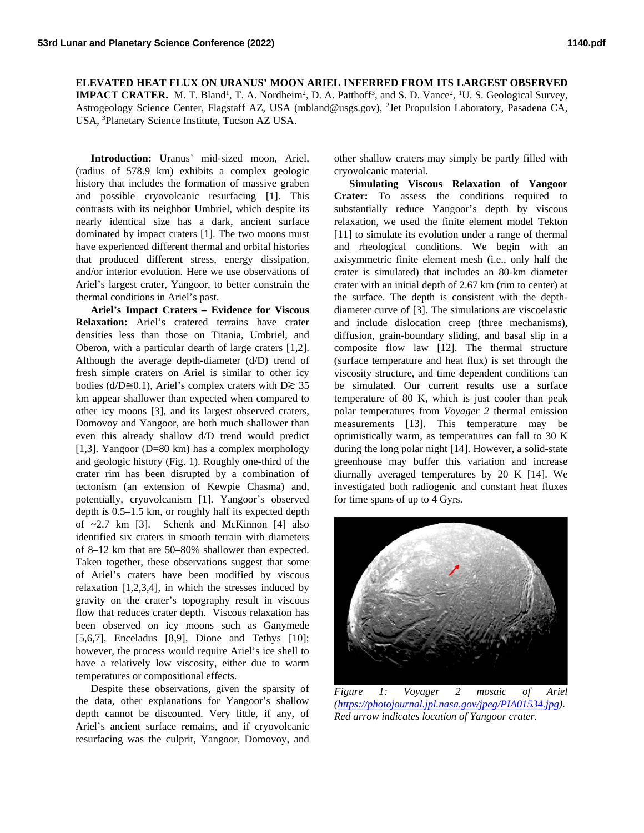**ELEVATED HEAT FLUX ON URANUS' MOON ARIEL INFERRED FROM ITS LARGEST OBSERVED IMPACT CRATER.** M. T. Bland<sup>1</sup>, T. A. Nordheim<sup>2</sup>, D. A. Patthoff<sup>3</sup>, and S. D. Vance<sup>2</sup>, <sup>1</sup>U. S. Geological Survey, Astrogeology Science Center, Flagstaff AZ, USA (mbland@usgs.gov), <sup>2</sup>Jet Propulsion Laboratory, Pasadena CA, USA, 3 Planetary Science Institute, Tucson AZ USA.

**Introduction:** Uranus' mid-sized moon, Ariel, (radius of 578.9 km) exhibits a complex geologic history that includes the formation of massive graben and possible cryovolcanic resurfacing [1]. This contrasts with its neighbor Umbriel, which despite its nearly identical size has a dark, ancient surface dominated by impact craters [1]. The two moons must have experienced different thermal and orbital histories that produced different stress, energy dissipation, and/or interior evolution. Here we use observations of Ariel's largest crater, Yangoor, to better constrain the thermal conditions in Ariel's past.

**Ariel's Impact Craters – Evidence for Viscous Relaxation:** Ariel's cratered terrains have crater densities less than those on Titania, Umbriel, and Oberon, with a particular dearth of large craters [1,2]. Although the average depth-diameter (d/D) trend of fresh simple craters on Ariel is similar to other icy bodies (d/D≅0.1), Ariel's complex craters with D $\gtrsim$  35 km appear shallower than expected when compared to other icy moons [3], and its largest observed craters, Domovoy and Yangoor, are both much shallower than even this already shallow d/D trend would predict [1,3]. Yangoor (D=80 km) has a complex morphology and geologic history (Fig. 1). Roughly one-third of the crater rim has been disrupted by a combination of tectonism (an extension of Kewpie Chasma) and, potentially, cryovolcanism [1]. Yangoor's observed depth is 0.5–1.5 km, or roughly half its expected depth of ~2.7 km [3]. Schenk and McKinnon [4] also identified six craters in smooth terrain with diameters of 8–12 km that are 50–80% shallower than expected. Taken together, these observations suggest that some of Ariel's craters have been modified by viscous relaxation [1,2,3,4], in which the stresses induced by gravity on the crater's topography result in viscous flow that reduces crater depth. Viscous relaxation has been observed on icy moons such as Ganymede [5,6,7], Enceladus [8,9], Dione and Tethys [10]; however, the process would require Ariel's ice shell to have a relatively low viscosity, either due to warm temperatures or compositional effects.

Despite these observations, given the sparsity of the data, other explanations for Yangoor's shallow depth cannot be discounted. Very little, if any, of Ariel's ancient surface remains, and if cryovolcanic resurfacing was the culprit, Yangoor, Domovoy, and

other shallow craters may simply be partly filled with cryovolcanic material.

**Simulating Viscous Relaxation of Yangoor Crater:** To assess the conditions required to substantially reduce Yangoor's depth by viscous relaxation, we used the finite element model Tekton [11] to simulate its evolution under a range of thermal and rheological conditions. We begin with an axisymmetric finite element mesh (i.e., only half the crater is simulated) that includes an 80-km diameter crater with an initial depth of 2.67 km (rim to center) at the surface. The depth is consistent with the depthdiameter curve of [3]. The simulations are viscoelastic and include dislocation creep (three mechanisms), diffusion, grain-boundary sliding, and basal slip in a composite flow law [12]. The thermal structure (surface temperature and heat flux) is set through the viscosity structure, and time dependent conditions can be simulated. Our current results use a surface temperature of 80 K, which is just cooler than peak polar temperatures from *Voyager 2* thermal emission measurements [13]. This temperature may be optimistically warm, as temperatures can fall to 30 K during the long polar night [14]. However, a solid-state greenhouse may buffer this variation and increase diurnally averaged temperatures by 20 K [14]. We investigated both radiogenic and constant heat fluxes for time spans of up to 4 Gyrs.



*Figure 1: Voyager 2 mosaic of Ariel [\(https://photojournal.jpl.nasa.gov/jpeg/PIA01534.jpg\)](https://photojournal.jpl.nasa.gov/jpeg/PIA01534.jpg). Red arrow indicates location of Yangoor crater.*